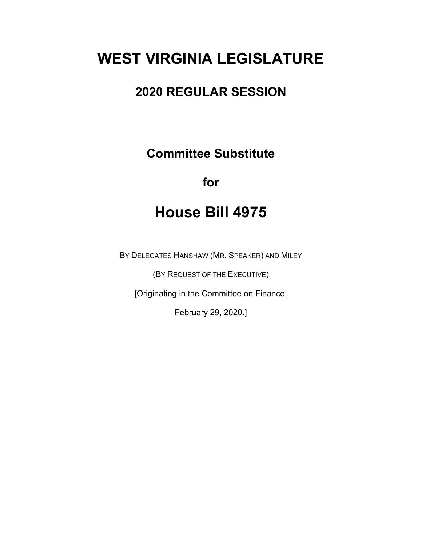## **WEST VIRGINIA LEGISLATURE**

## **2020 REGULAR SESSION**

**Committee Substitute**

## **for**

## **House Bill 4975**

BY DELEGATES HANSHAW (MR. SPEAKER) AND MILEY

(BY REQUEST OF THE EXECUTIVE)

[Originating in the Committee on Finance;

February 29, 2020.]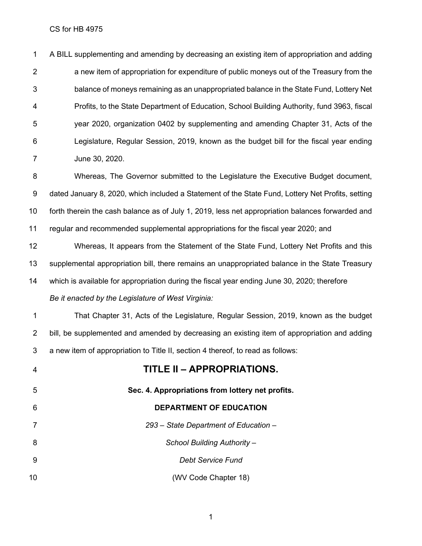| 1              | A BILL supplementing and amending by decreasing an existing item of appropriation and adding      |
|----------------|---------------------------------------------------------------------------------------------------|
| $\overline{2}$ | a new item of appropriation for expenditure of public moneys out of the Treasury from the         |
| 3              | balance of moneys remaining as an unappropriated balance in the State Fund, Lottery Net           |
| 4              | Profits, to the State Department of Education, School Building Authority, fund 3963, fiscal       |
| 5              | year 2020, organization 0402 by supplementing and amending Chapter 31, Acts of the                |
| 6              | Legislature, Regular Session, 2019, known as the budget bill for the fiscal year ending           |
| 7              | June 30, 2020.                                                                                    |
| 8              | Whereas, The Governor submitted to the Legislature the Executive Budget document,                 |
| 9              | dated January 8, 2020, which included a Statement of the State Fund, Lottery Net Profits, setting |
| 10             | forth therein the cash balance as of July 1, 2019, less net appropriation balances forwarded and  |
| 11             | regular and recommended supplemental appropriations for the fiscal year 2020; and                 |
| 12             | Whereas, It appears from the Statement of the State Fund, Lottery Net Profits and this            |
| 13             | supplemental appropriation bill, there remains an unappropriated balance in the State Treasury    |
| 14             | which is available for appropriation during the fiscal year ending June 30, 2020; therefore       |
|                | Be it enacted by the Legislature of West Virginia:                                                |
| 1              | That Chapter 31, Acts of the Legislature, Regular Session, 2019, known as the budget              |
| $\overline{2}$ | bill, be supplemented and amended by decreasing an existing item of appropriation and adding      |
| 3              | a new item of appropriation to Title II, section 4 thereof, to read as follows:                   |
| 4              | <b>TITLE II - APPROPRIATIONS.</b>                                                                 |
| 5              | Sec. 4. Appropriations from lottery net profits.                                                  |
| 6              | <b>DEPARTMENT OF EDUCATION</b>                                                                    |
| 7              | 293 - State Department of Education -                                                             |
| 8              | School Building Authority -                                                                       |
| 9              | <b>Debt Service Fund</b>                                                                          |
|                |                                                                                                   |

**10** (WV Code Chapter 18)